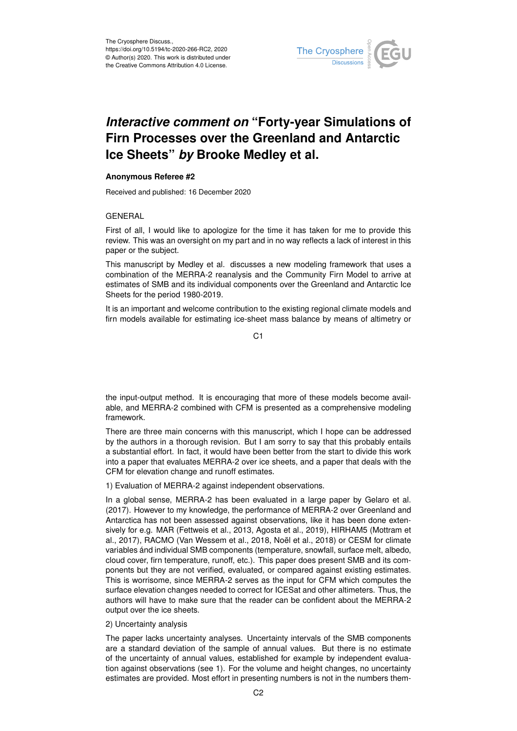

# *Interactive comment on* **"Forty-year Simulations of Firn Processes over the Greenland and Antarctic Ice Sheets"** *by* **Brooke Medley et al.**

## **Anonymous Referee #2**

Received and published: 16 December 2020

## GENERAL

First of all, I would like to apologize for the time it has taken for me to provide this review. This was an oversight on my part and in no way reflects a lack of interest in this paper or the subject.

This manuscript by Medley et al. discusses a new modeling framework that uses a combination of the MERRA-2 reanalysis and the Community Firn Model to arrive at estimates of SMB and its individual components over the Greenland and Antarctic Ice Sheets for the period 1980-2019.

It is an important and welcome contribution to the existing regional climate models and firn models available for estimating ice-sheet mass balance by means of altimetry or

C1

the input-output method. It is encouraging that more of these models become available, and MERRA-2 combined with CFM is presented as a comprehensive modeling framework.

There are three main concerns with this manuscript, which I hope can be addressed by the authors in a thorough revision. But I am sorry to say that this probably entails a substantial effort. In fact, it would have been better from the start to divide this work into a paper that evaluates MERRA-2 over ice sheets, and a paper that deals with the CFM for elevation change and runoff estimates.

1) Evaluation of MERRA-2 against independent observations.

In a global sense, MERRA-2 has been evaluated in a large paper by Gelaro et al. (2017). However to my knowledge, the performance of MERRA-2 over Greenland and Antarctica has not been assessed against observations, like it has been done extensively for e.g. MAR (Fettweis et al., 2013, Agosta et al., 2019), HIRHAM5 (Mottram et al., 2017), RACMO (Van Wessem et al., 2018, Noël et al., 2018) or CESM for climate variables ánd individual SMB components (temperature, snowfall, surface melt, albedo, cloud cover, firn temperature, runoff, etc.). This paper does present SMB and its components but they are not verified, evaluated, or compared against existing estimates. This is worrisome, since MERRA-2 serves as the input for CFM which computes the surface elevation changes needed to correct for ICESat and other altimeters. Thus, the authors will have to make sure that the reader can be confident about the MERRA-2 output over the ice sheets.

### 2) Uncertainty analysis

The paper lacks uncertainty analyses. Uncertainty intervals of the SMB components are a standard deviation of the sample of annual values. But there is no estimate of the uncertainty of annual values, established for example by independent evaluation against observations (see 1). For the volume and height changes, no uncertainty estimates are provided. Most effort in presenting numbers is not in the numbers them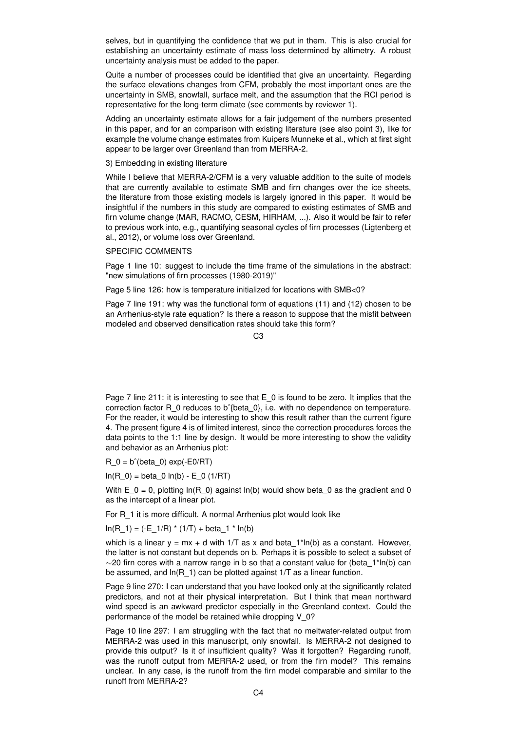selves, but in quantifying the confidence that we put in them. This is also crucial for establishing an uncertainty estimate of mass loss determined by altimetry. A robust uncertainty analysis must be added to the paper.

Quite a number of processes could be identified that give an uncertainty. Regarding the surface elevations changes from CFM, probably the most important ones are the uncertainty in SMB, snowfall, surface melt, and the assumption that the RCI period is representative for the long-term climate (see comments by reviewer 1).

Adding an uncertainty estimate allows for a fair judgement of the numbers presented in this paper, and for an comparison with existing literature (see also point 3), like for example the volume change estimates from Kuipers Munneke et al., which at first sight appear to be larger over Greenland than from MERRA-2.

3) Embedding in existing literature

While I believe that MERRA-2/CFM is a very valuable addition to the suite of models that are currently available to estimate SMB and firn changes over the ice sheets, the literature from those existing models is largely ignored in this paper. It would be insightful if the numbers in this study are compared to existing estimates of SMB and firn volume change (MAR, RACMO, CESM, HIRHAM, ...). Also it would be fair to refer to previous work into, e.g., quantifying seasonal cycles of firn processes (Ligtenberg et al., 2012), or volume loss over Greenland.

### SPECIFIC COMMENTS

Page 1 line 10: suggest to include the time frame of the simulations in the abstract: "new simulations of firn processes (1980-2019)"

Page 5 line 126: how is temperature initialized for locations with SMB<0?

Page 7 line 191: why was the functional form of equations (11) and (12) chosen to be an Arrhenius-style rate equation? Is there a reason to suppose that the misfit between modeled and observed densification rates should take this form?

 $\cap$ 

Page 7 line 211: it is interesting to see that E 0 is found to be zero. It implies that the correction factor R\_0 reduces to bˆ{beta\_0}, i.e. with no dependence on temperature. For the reader, it would be interesting to show this result rather than the current figure 4. The present figure 4 is of limited interest, since the correction procedures forces the data points to the 1:1 line by design. It would be more interesting to show the validity and behavior as an Arrhenius plot:

 $R_0 = b^{\hat{}}(beta_0) exp(-E0/RT)$ 

 $ln(R_0) = beta_0 ln(b) - E_0 (1/RT)$ 

With  $E_0 = 0$ , plotting ln(R\_0) against ln(b) would show beta 0 as the gradient and 0 as the intercept of a linear plot.

For R\_1 it is more difficult. A normal Arrhenius plot would look like

 $ln(R_1) = (-E_1/R) * (1/T) + beta_1 * ln(b)$ 

which is a linear  $y = mx + d$  with 1/T as x and beta 1\*ln(b) as a constant. However, the latter is not constant but depends on b. Perhaps it is possible to select a subset of  $\sim$ 20 firn cores with a narrow range in b so that a constant value for (beta 1\*ln(b) can be assumed, and  $ln(R_1)$  can be plotted against  $1/T$  as a linear function.

Page 9 line 270: I can understand that you have looked only at the significantly related predictors, and not at their physical interpretation. But I think that mean northward wind speed is an awkward predictor especially in the Greenland context. Could the performance of the model be retained while dropping V\_0?

Page 10 line 297: I am struggling with the fact that no meltwater-related output from MERRA-2 was used in this manuscript, only snowfall. Is MERRA-2 not designed to provide this output? Is it of insufficient quality? Was it forgotten? Regarding runoff, was the runoff output from MERRA-2 used, or from the firn model? This remains unclear. In any case, is the runoff from the firn model comparable and similar to the runoff from MERRA-2?